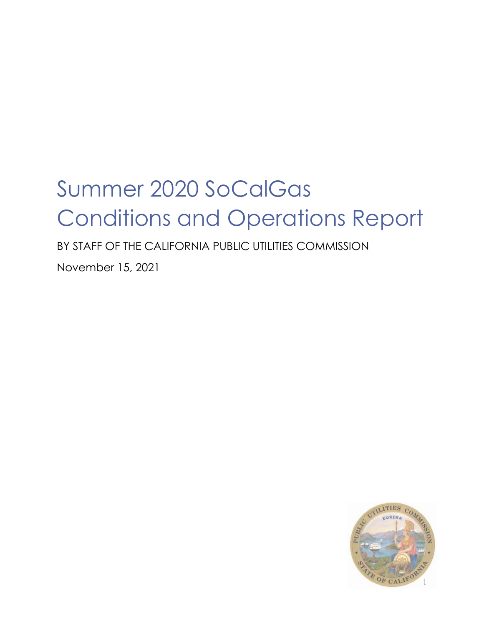# Summer 2020 SoCalGas Conditions and Operations Report

BY STAFF OF THE CALIFORNIA PUBLIC UTILITIES COMMISSION

November 15, 2021

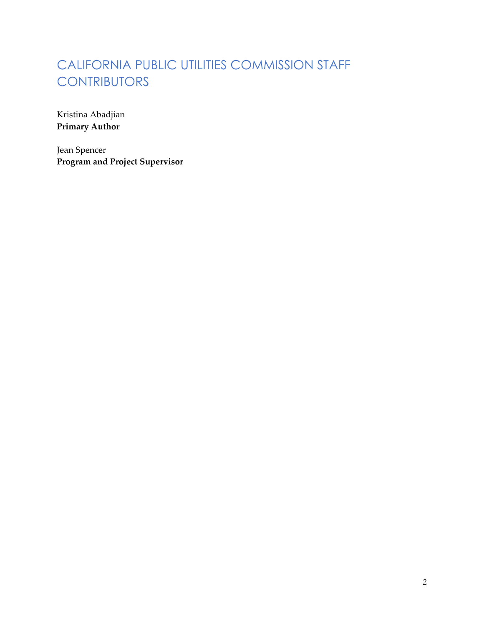# CALIFORNIA PUBLIC UTILITIES COMMISSION STAFF **CONTRIBUTORS**

Kristina Abadjian **Primary Author**

Jean Spencer **Program and Project Supervisor**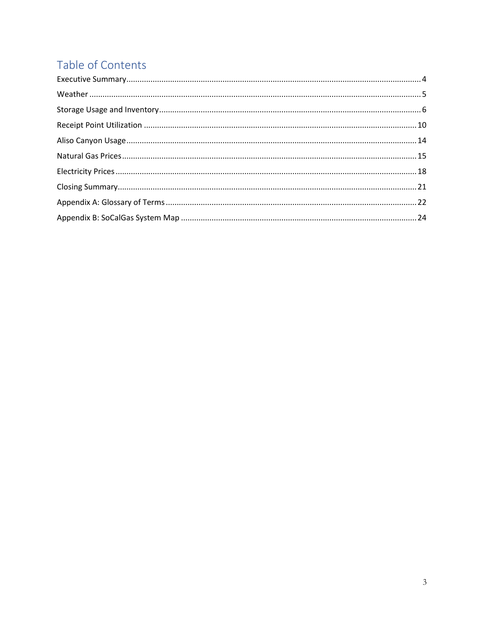# Table of Contents

<span id="page-2-0"></span>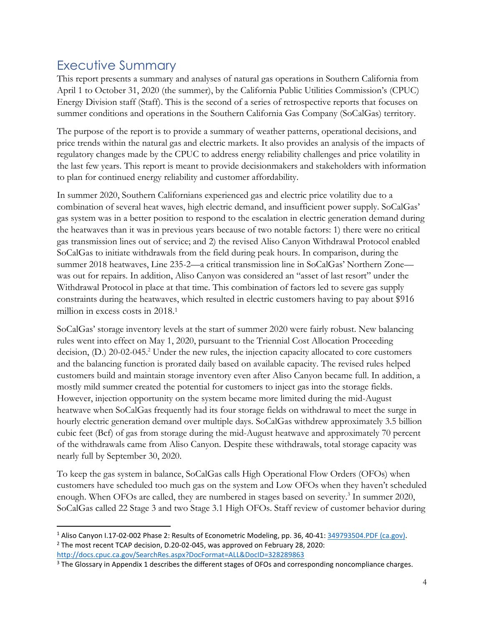## Executive Summary

This report presents a summary and analyses of natural gas operations in Southern California from April 1 to October 31, 2020 (the summer), by the California Public Utilities Commission's (CPUC) Energy Division staff (Staff). This is the second of a series of retrospective reports that focuses on summer conditions and operations in the Southern California Gas Company (SoCalGas) territory.

The purpose of the report is to provide a summary of weather patterns, operational decisions, and price trends within the natural gas and electric markets. It also provides an analysis of the impacts of regulatory changes made by the CPUC to address energy reliability challenges and price volatility in the last few years. This report is meant to provide decisionmakers and stakeholders with information to plan for continued energy reliability and customer affordability.

In summer 2020, Southern Californians experienced gas and electric price volatility due to a combination of several heat waves, high electric demand, and insufficient power supply. SoCalGas' gas system was in a better position to respond to the escalation in electric generation demand during the heatwaves than it was in previous years because of two notable factors: 1) there were no critical gas transmission lines out of service; and 2) the revised Aliso Canyon Withdrawal Protocol enabled SoCalGas to initiate withdrawals from the field during peak hours. In comparison, during the summer 2018 heatwaves, Line 235-2—a critical transmission line in SoCalGas' Northern Zone was out for repairs. In addition, Aliso Canyon was considered an "asset of last resort" under the Withdrawal Protocol in place at that time. This combination of factors led to severe gas supply constraints during the heatwaves, which resulted in electric customers having to pay about \$916 million in excess costs in 2018.<sup>1</sup>

SoCalGas' storage inventory levels at the start of summer 2020 were fairly robust. New balancing rules went into effect on May 1, 2020, pursuant to the Triennial Cost Allocation Proceeding decision, (D.) 20-02-045.<sup>2</sup> Under the new rules, the injection capacity allocated to core customers and the balancing function is prorated daily based on available capacity. The revised rules helped customers build and maintain storage inventory even after Aliso Canyon became full. In addition, a mostly mild summer created the potential for customers to inject gas into the storage fields. However, injection opportunity on the system became more limited during the mid-August heatwave when SoCalGas frequently had its four storage fields on withdrawal to meet the surge in hourly electric generation demand over multiple days. SoCalGas withdrew approximately 3.5 billion cubic feet (Bcf) of gas from storage during the mid-August heatwave and approximately 70 percent of the withdrawals came from Aliso Canyon. Despite these withdrawals, total storage capacity was nearly full by September 30, 2020.

To keep the gas system in balance, SoCalGas calls High Operational Flow Orders (OFOs) when customers have scheduled too much gas on the system and Low OFOs when they haven't scheduled enough. When OFOs are called, they are numbered in stages based on severity.<sup>3</sup> In summer 2020, SoCalGas called 22 Stage 3 and two Stage 3.1 High OFOs. Staff review of customer behavior during

<sup>1</sup> Aliso Canyon I.17-02-002 Phase 2: Results of Econometric Modeling, pp. 36, 40-41[: 349793504.PDF \(ca.gov\).](https://docs.cpuc.ca.gov/PublishedDocs/Efile/G000/M349/K793/349793504.PDF) <sup>2</sup> The most recent TCAP decision, D.20-02-045, was approved on February 28, 2020: <http://docs.cpuc.ca.gov/SearchRes.aspx?DocFormat=ALL&DocID=328289863>

<sup>&</sup>lt;sup>3</sup> The Glossary in Appendix 1 describes the different stages of OFOs and corresponding noncompliance charges.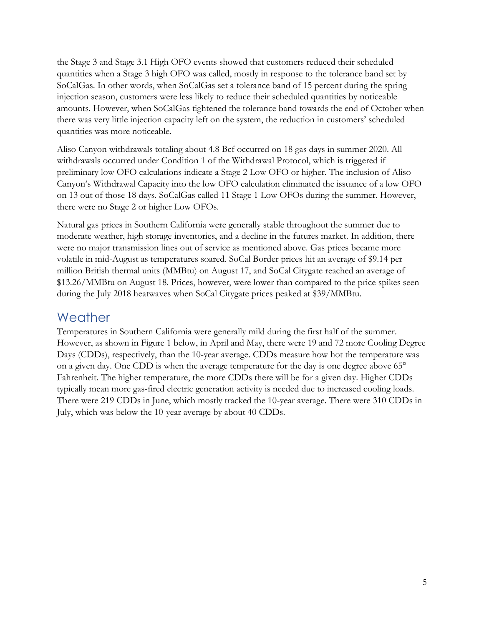the Stage 3 and Stage 3.1 High OFO events showed that customers reduced their scheduled quantities when a Stage 3 high OFO was called, mostly in response to the tolerance band set by SoCalGas. In other words, when SoCalGas set a tolerance band of 15 percent during the spring injection season, customers were less likely to reduce their scheduled quantities by noticeable amounts. However, when SoCalGas tightened the tolerance band towards the end of October when there was very little injection capacity left on the system, the reduction in customers' scheduled quantities was more noticeable.

Aliso Canyon withdrawals totaling about 4.8 Bcf occurred on 18 gas days in summer 2020. All withdrawals occurred under Condition 1 of the Withdrawal Protocol, which is triggered if preliminary low OFO calculations indicate a Stage 2 Low OFO or higher. The inclusion of Aliso Canyon's Withdrawal Capacity into the low OFO calculation eliminated the issuance of a low OFO on 13 out of those 18 days. SoCalGas called 11 Stage 1 Low OFOs during the summer. However, there were no Stage 2 or higher Low OFOs.

Natural gas prices in Southern California were generally stable throughout the summer due to moderate weather, high storage inventories, and a decline in the futures market. In addition, there were no major transmission lines out of service as mentioned above. Gas prices became more volatile in mid-August as temperatures soared. SoCal Border prices hit an average of \$9.14 per million British thermal units (MMBtu) on August 17, and SoCal Citygate reached an average of \$13.26/MMBtu on August 18. Prices, however, were lower than compared to the price spikes seen during the July 2018 heatwaves when SoCal Citygate prices peaked at \$39/MMBtu.

#### <span id="page-4-0"></span>Weather

Temperatures in Southern California were generally mild during the first half of the summer. However, as shown in Figure 1 below, in April and May, there were 19 and 72 more Cooling Degree Days (CDDs), respectively, than the 10-year average. CDDs measure how hot the temperature was on a given day. One CDD is when the average temperature for the day is one degree above 65° Fahrenheit. The higher temperature, the more CDDs there will be for a given day. Higher CDDs typically mean more gas-fired electric generation activity is needed due to increased cooling loads. There were 219 CDDs in June, which mostly tracked the 10-year average. There were 310 CDDs in July, which was below the 10-year average by about 40 CDDs.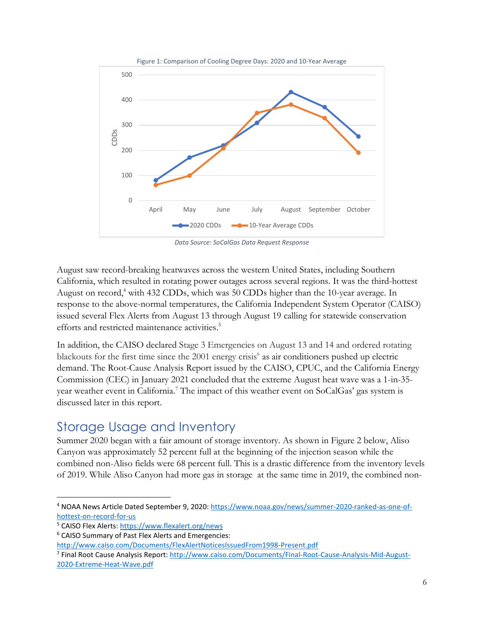

*Data Source: SoCalGas Data Request Response*

August saw record-breaking heatwaves across the western United States, including Southern California, which resulted in rotating power outages across several regions. It was the third-hottest August on record, <sup>4</sup> with 432 CDDs, which was 50 CDDs higher than the 10-year average. In response to the above-normal temperatures, the California Independent System Operator (CAISO) issued several Flex Alerts from August 13 through August 19 calling for statewide conservation efforts and restricted maintenance activities. 5

In addition, the CAISO declared Stage 3 Emergencies on August 13 and 14 and ordered rotating blackouts for the first time since the 2001 energy crisis<sup>6</sup> as air conditioners pushed up electric demand. The Root-Cause Analysis Report issued by the CAISO, CPUC, and the California Energy Commission (CEC) in January 2021 concluded that the extreme August heat wave was a 1-in-35 year weather event in California.<sup>7</sup> The impact of this weather event on SoCalGas' gas system is discussed later in this report.

#### <span id="page-5-0"></span>Storage Usage and Inventory

Summer 2020 began with a fair amount of storage inventory. As shown in Figure 2 below, Aliso Canyon was approximately 52 percent full at the beginning of the injection season while the combined non-Aliso fields were 68 percent full. This is a drastic difference from the inventory levels of 2019. While Aliso Canyon had more gas in storage at the same time in 2019, the combined non-

<sup>4</sup> NOAA News Article Dated September 9, 2020: [https://www.noaa.gov/news/summer-2020-ranked-as-one-of](https://www.noaa.gov/news/summer-2020-ranked-as-one-of-hottest-on-record-for-us)[hottest-on-record-for-us](https://www.noaa.gov/news/summer-2020-ranked-as-one-of-hottest-on-record-for-us)

<sup>&</sup>lt;sup>5</sup> CAISO Flex Alerts:<https://www.flexalert.org/news>

<sup>6</sup> CAISO Summary of Past Flex Alerts and Emergencies:

<http://www.caiso.com/Documents/FlexAlertNoticesIssuedFrom1998-Present.pdf>

<sup>&</sup>lt;sup>7</sup> Final Root Cause Analysis Report: [http://www.caiso.com/Documents/Final-Root-Cause-Analysis-Mid-August-](http://www.caiso.com/Documents/Final-Root-Cause-Analysis-Mid-August-2020-Extreme-Heat-Wave.pdf)[2020-Extreme-Heat-Wave.pdf](http://www.caiso.com/Documents/Final-Root-Cause-Analysis-Mid-August-2020-Extreme-Heat-Wave.pdf)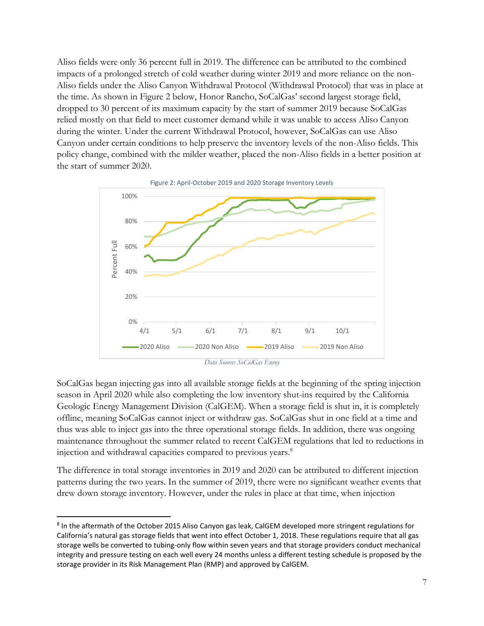Aliso fields were only 36 percent full in 2019. The difference can be attributed to the combined impacts of a prolonged stretch of cold weather during winter 2019 and more reliance on the non-Aliso fields under the Aliso Canyon Withdrawal Protocol (Withdrawal Protocol) that was in place at the time. As shown in Figure 2 below, Honor Rancho, SoCalGas' second largest storage field, dropped to 30 percent of its maximum capacity by the start of summer 2019 because SoCalGas relied mostly on that field to meet customer demand while it was unable to access Aliso Canyon during the winter. Under the current Withdrawal Protocol, however, SoCalGas can use Aliso Canyon under certain conditions to help preserve the inventory levels of the non-Aliso fields. This policy change, combined with the milder weather, placed the non-Aliso fields in a better position at the start of summer 2020.



SoCalGas began injecting gas into all available storage fields at the beginning of the spring injection season in April 2020 while also completing the low inventory shut-ins required by the California Geologic Energy Management Division (CalGEM). When a storage field is shut in, it is completely offline, meaning SoCalGas cannot inject or withdraw gas. SoCalGas shut in one field at a time and thus was able to inject gas into the three operational storage fields. In addition, there was ongoing maintenance throughout the summer related to recent CalGEM regulations that led to reductions in injection and withdrawal capacities compared to previous years. 8

The difference in total storage inventories in 2019 and 2020 can be attributed to different injection patterns during the two years. In the summer of 2019, there were no significant weather events that drew down storage inventory. However, under the rules in place at that time, when injection

<sup>&</sup>lt;sup>8</sup> In the aftermath of the October 2015 Aliso Canyon gas leak, CalGEM developed more stringent regulations for California's natural gas storage fields that went into effect October 1, 2018. These regulations require that all gas storage wells be converted to tubing-only flow within seven years and that storage providers conduct mechanical integrity and pressure testing on each well every 24 months unless a different testing schedule is proposed by the storage provider in its Risk Management Plan (RMP) and approved by CalGEM.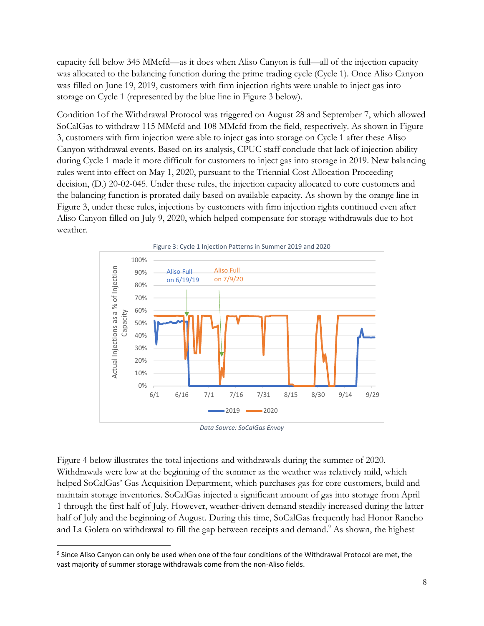capacity fell below 345 MMcfd—as it does when Aliso Canyon is full—all of the injection capacity was allocated to the balancing function during the prime trading cycle (Cycle 1). Once Aliso Canyon was filled on June 19, 2019, customers with firm injection rights were unable to inject gas into storage on Cycle 1 (represented by the blue line in Figure 3 below).

Condition 1of the Withdrawal Protocol was triggered on August 28 and September 7, which allowed SoCalGas to withdraw 115 MMcfd and 108 MMcfd from the field, respectively. As shown in Figure 3, customers with firm injection were able to inject gas into storage on Cycle 1 after these Aliso Canyon withdrawal events. Based on its analysis, CPUC staff conclude that lack of injection ability during Cycle 1 made it more difficult for customers to inject gas into storage in 2019. New balancing rules went into effect on May 1, 2020, pursuant to the Triennial Cost Allocation Proceeding decision, (D.) 20-02-045. Under these rules, the injection capacity allocated to core customers and the balancing function is prorated daily based on available capacity. As shown by the orange line in Figure 3, under these rules, injections by customers with firm injection rights continued even after Aliso Canyon filled on July 9, 2020, which helped compensate for storage withdrawals due to hot weather.



*Data Source: SoCalGas Envoy*

Figure 4 below illustrates the total injections and withdrawals during the summer of 2020. Withdrawals were low at the beginning of the summer as the weather was relatively mild, which helped SoCalGas' Gas Acquisition Department, which purchases gas for core customers, build and maintain storage inventories. SoCalGas injected a significant amount of gas into storage from April 1 through the first half of July. However, weather-driven demand steadily increased during the latter half of July and the beginning of August. During this time, SoCalGas frequently had Honor Rancho and La Goleta on withdrawal to fill the gap between receipts and demand.<sup>9</sup> As shown, the highest

<sup>&</sup>lt;sup>9</sup> Since Aliso Canyon can only be used when one of the four conditions of the Withdrawal Protocol are met, the vast majority of summer storage withdrawals come from the non-Aliso fields.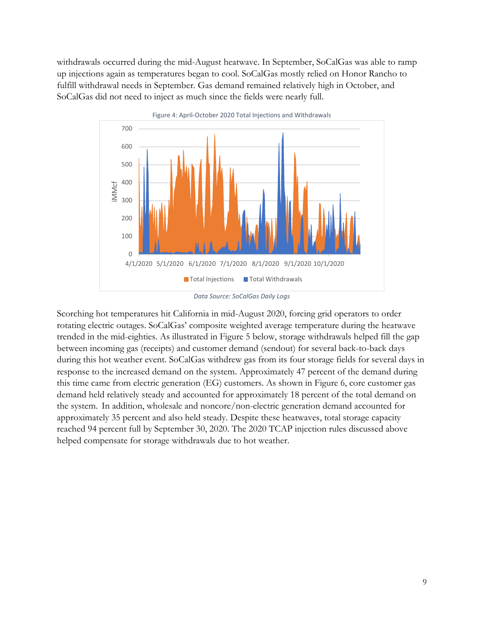withdrawals occurred during the mid-August heatwave. In September, SoCalGas was able to ramp up injections again as temperatures began to cool. SoCalGas mostly relied on Honor Rancho to fulfill withdrawal needs in September. Gas demand remained relatively high in October, and SoCalGas did not need to inject as much since the fields were nearly full.



*Data Source: SoCalGas Daily Logs*

Scorching hot temperatures hit California in mid-August 2020, forcing grid operators to order rotating electric outages. SoCalGas' composite weighted average temperature during the heatwave trended in the mid-eighties. As illustrated in Figure 5 below, storage withdrawals helped fill the gap between incoming gas (receipts) and customer demand (sendout) for several back-to-back days during this hot weather event. SoCalGas withdrew gas from its four storage fields for several days in response to the increased demand on the system. Approximately 47 percent of the demand during this time came from electric generation (EG) customers. As shown in Figure 6, core customer gas demand held relatively steady and accounted for approximately 18 percent of the total demand on the system. In addition, wholesale and noncore/non-electric generation demand accounted for approximately 35 percent and also held steady. Despite these heatwaves, total storage capacity reached 94 percent full by September 30, 2020. The 2020 TCAP injection rules discussed above helped compensate for storage withdrawals due to hot weather.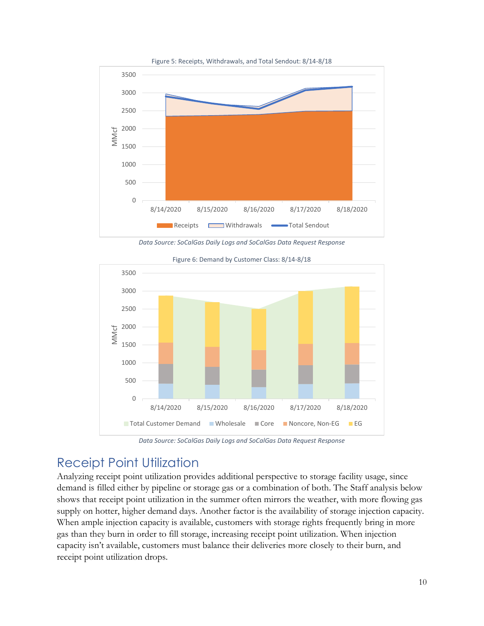





Figure 6: Demand by Customer Class: 8/14-8/18

*Data Source: SoCalGas Daily Logs and SoCalGas Data Request Response*

#### <span id="page-9-0"></span>Receipt Point Utilization

Analyzing receipt point utilization provides additional perspective to storage facility usage, since demand is filled either by pipeline or storage gas or a combination of both. The Staff analysis below shows that receipt point utilization in the summer often mirrors the weather, with more flowing gas supply on hotter, higher demand days. Another factor is the availability of storage injection capacity. When ample injection capacity is available, customers with storage rights frequently bring in more gas than they burn in order to fill storage, increasing receipt point utilization. When injection capacity isn't available, customers must balance their deliveries more closely to their burn, and receipt point utilization drops.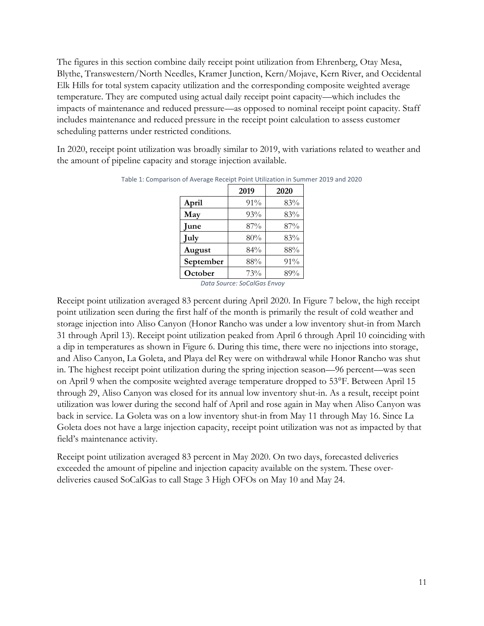The figures in this section combine daily receipt point utilization from Ehrenberg, Otay Mesa, Blythe, Transwestern/North Needles, Kramer Junction, Kern/Mojave, Kern River, and Occidental Elk Hills for total system capacity utilization and the corresponding composite weighted average temperature. They are computed using actual daily receipt point capacity—which includes the impacts of maintenance and reduced pressure—as opposed to nominal receipt point capacity. Staff includes maintenance and reduced pressure in the receipt point calculation to assess customer scheduling patterns under restricted conditions.

In 2020, receipt point utilization was broadly similar to 2019, with variations related to weather and the amount of pipeline capacity and storage injection available.

|           | 2019 | 2020 |
|-----------|------|------|
| April     | 91%  | 83%  |
| May       | 93%  | 83%  |
| June      | 87%  | 87%  |
| July      | 80%  | 83%  |
| August    | 84%  | 88%  |
| September | 88%  | 91%  |
| October   | 73%  | 89%  |

Table 1: Comparison of Average Receipt Point Utilization in Summer 2019 and 2020

*Data Source: SoCalGas Envoy*

Receipt point utilization averaged 83 percent during April 2020. In Figure 7 below, the high receipt point utilization seen during the first half of the month is primarily the result of cold weather and storage injection into Aliso Canyon (Honor Rancho was under a low inventory shut-in from March 31 through April 13). Receipt point utilization peaked from April 6 through April 10 coinciding with a dip in temperatures as shown in Figure 6. During this time, there were no injections into storage, and Aliso Canyon, La Goleta, and Playa del Rey were on withdrawal while Honor Rancho was shut in. The highest receipt point utilization during the spring injection season—96 percent—was seen on April 9 when the composite weighted average temperature dropped to 53°F. Between April 15 through 29, Aliso Canyon was closed for its annual low inventory shut-in. As a result, receipt point utilization was lower during the second half of April and rose again in May when Aliso Canyon was back in service. La Goleta was on a low inventory shut-in from May 11 through May 16. Since La Goleta does not have a large injection capacity, receipt point utilization was not as impacted by that field's maintenance activity.

Receipt point utilization averaged 83 percent in May 2020. On two days, forecasted deliveries exceeded the amount of pipeline and injection capacity available on the system. These overdeliveries caused SoCalGas to call Stage 3 High OFOs on May 10 and May 24.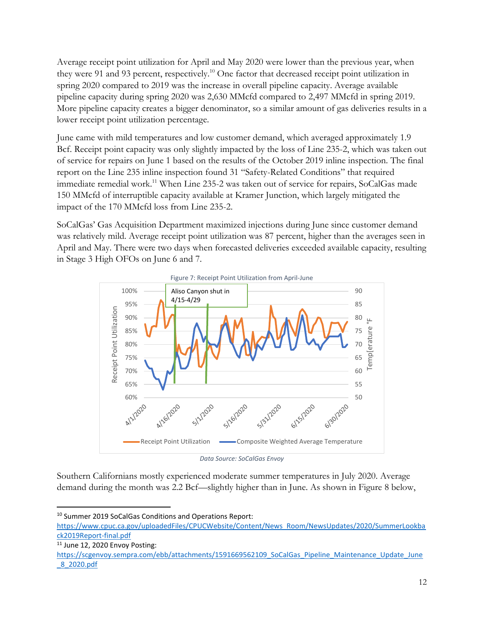Average receipt point utilization for April and May 2020 were lower than the previous year, when they were 91 and 93 percent, respectively.<sup>10</sup> One factor that decreased receipt point utilization in spring 2020 compared to 2019 was the increase in overall pipeline capacity. Average available pipeline capacity during spring 2020 was 2,630 MMcfd compared to 2,497 MMcfd in spring 2019. More pipeline capacity creates a bigger denominator, so a similar amount of gas deliveries results in a lower receipt point utilization percentage.

June came with mild temperatures and low customer demand, which averaged approximately 1.9 Bcf. Receipt point capacity was only slightly impacted by the loss of Line 235-2, which was taken out of service for repairs on June 1 based on the results of the October 2019 inline inspection. The final report on the Line 235 inline inspection found 31 "Safety-Related Conditions" that required immediate remedial work.<sup>11</sup> When Line 235-2 was taken out of service for repairs, SoCalGas made 150 MMcfd of interruptible capacity available at Kramer Junction, which largely mitigated the impact of the 170 MMcfd loss from Line 235-2.

SoCalGas' Gas Acquisition Department maximized injections during June since customer demand was relatively mild. Average receipt point utilization was 87 percent, higher than the averages seen in April and May. There were two days when forecasted deliveries exceeded available capacity, resulting in Stage 3 High OFOs on June 6 and 7.



*Data Source: SoCalGas Envoy*

Southern Californians mostly experienced moderate summer temperatures in July 2020. Average demand during the month was 2.2 Bcf—slightly higher than in June. As shown in Figure 8 below,

<sup>10</sup> Summer 2019 SoCalGas Conditions and Operations Report:

[https://www.cpuc.ca.gov/uploadedFiles/CPUCWebsite/Content/News\\_Room/NewsUpdates/2020/SummerLookba](https://www.cpuc.ca.gov/uploadedFiles/CPUCWebsite/Content/News_Room/NewsUpdates/2020/SummerLookback2019Report-final.pdf) [ck2019Report-final.pdf](https://www.cpuc.ca.gov/uploadedFiles/CPUCWebsite/Content/News_Room/NewsUpdates/2020/SummerLookback2019Report-final.pdf)

 $11$  June 12, 2020 Envoy Posting:

[https://scgenvoy.sempra.com/ebb/attachments/1591669562109\\_SoCalGas\\_Pipeline\\_Maintenance\\_Update\\_June](https://scgenvoy.sempra.com/ebb/attachments/1591669562109_SoCalGas_Pipeline_Maintenance_Update_June_8_2020.pdf) [\\_8\\_2020.pdf](https://scgenvoy.sempra.com/ebb/attachments/1591669562109_SoCalGas_Pipeline_Maintenance_Update_June_8_2020.pdf)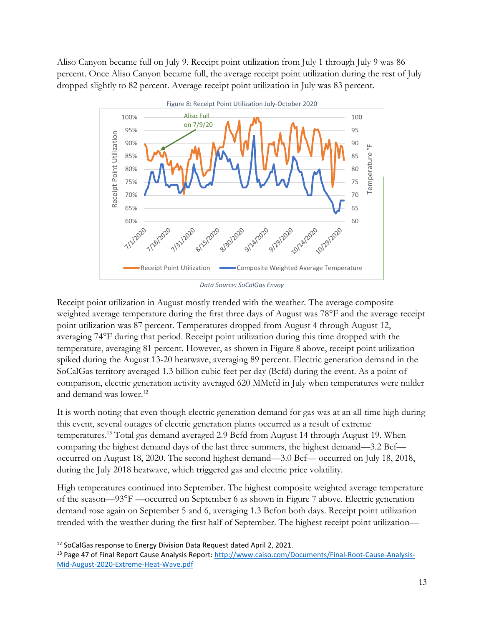Aliso Canyon became full on July 9. Receipt point utilization from July 1 through July 9 was 86 percent. Once Aliso Canyon became full, the average receipt point utilization during the rest of July dropped slightly to 82 percent. Average receipt point utilization in July was 83 percent.



Receipt point utilization in August mostly trended with the weather. The average composite weighted average temperature during the first three days of August was 78°F and the average receipt point utilization was 87 percent. Temperatures dropped from August 4 through August 12, averaging 74°F during that period. Receipt point utilization during this time dropped with the temperature, averaging 81 percent. However, as shown in Figure 8 above, receipt point utilization spiked during the August 13-20 heatwave, averaging 89 percent. Electric generation demand in the SoCalGas territory averaged 1.3 billion cubic feet per day (Bcfd) during the event. As a point of comparison, electric generation activity averaged 620 MMcfd in July when temperatures were milder and demand was lower.<sup>12</sup>

It is worth noting that even though electric generation demand for gas was at an all-time high during this event, several outages of electric generation plants occurred as a result of extreme temperatures.<sup>13</sup> Total gas demand averaged 2.9 Bcfd from August 14 through August 19. When comparing the highest demand days of the last three summers, the highest demand—3.2 Bcf occurred on August 18, 2020. The second highest demand—3.0 Bcf— occurred on July 18, 2018, during the July 2018 heatwave, which triggered gas and electric price volatility.

High temperatures continued into September. The highest composite weighted average temperature of the season—93°F —occurred on September 6 as shown in Figure 7 above. Electric generation demand rose again on September 5 and 6, averaging 1.3 Bcfon both days. Receipt point utilization trended with the weather during the first half of September. The highest receipt point utilization—

<sup>&</sup>lt;sup>12</sup> SoCalGas response to Energy Division Data Request dated April 2, 2021.

<sup>&</sup>lt;sup>13</sup> Page 47 of Final Report Cause Analysis Report[: http://www.caiso.com/Documents/Final-Root-Cause-Analysis-](http://www.caiso.com/Documents/Final-Root-Cause-Analysis-Mid-August-2020-Extreme-Heat-Wave.pdf)[Mid-August-2020-Extreme-Heat-Wave.pdf](http://www.caiso.com/Documents/Final-Root-Cause-Analysis-Mid-August-2020-Extreme-Heat-Wave.pdf)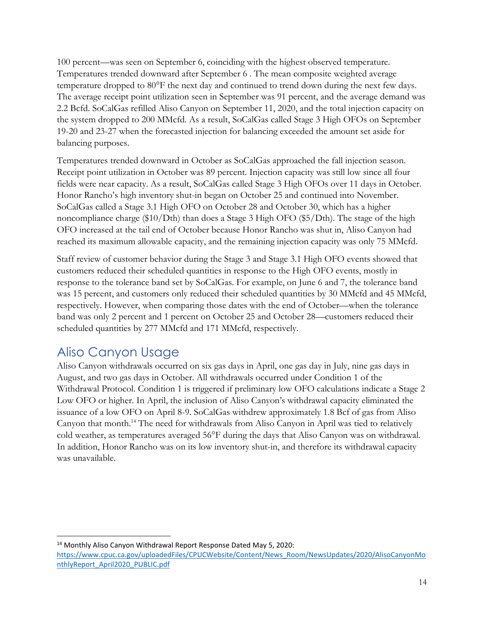100 percent—was seen on September 6, coinciding with the highest observed temperature. Temperatures trended downward after September 6 . The mean composite weighted average temperature dropped to 80°F the next day and continued to trend down during the next few days. The average receipt point utilization seen in September was 91 percent, and the average demand was 2.2 Bcfd. SoCalGas refilled Aliso Canyon on September 11, 2020, and the total injection capacity on the system dropped to 200 MMcfd. As a result, SoCalGas called Stage 3 High OFOs on September 19-20 and 23-27 when the forecasted injection for balancing exceeded the amount set aside for balancing purposes.

Temperatures trended downward in October as SoCalGas approached the fall injection season. Receipt point utilization in October was 89 percent. Injection capacity was still low since all four fields were near capacity. As a result, SoCalGas called Stage 3 High OFOs over 11 days in October. Honor Rancho's high inventory shut-in began on October 25 and continued into November. SoCalGas called a Stage 3.1 High OFO on October 28 and October 30, which has a higher noncompliance charge (\$10/Dth) than does a Stage 3 High OFO (\$5/Dth). The stage of the high OFO increased at the tail end of October because Honor Rancho was shut in, Aliso Canyon had reached its maximum allowable capacity, and the remaining injection capacity was only 75 MMcfd.

Staff review of customer behavior during the Stage 3 and Stage 3.1 High OFO events showed that customers reduced their scheduled quantities in response to the High OFO events, mostly in response to the tolerance band set by SoCalGas. For example, on June 6 and 7, the tolerance band was 15 percent, and customers only reduced their scheduled quantities by 30 MMcfd and 45 MMcfd, respectively. However, when comparing those dates with the end of October—when the tolerance band was only 2 percent and 1 percent on October 25 and October 28—customers reduced their scheduled quantities by 277 MMcfd and 171 MMcfd, respectively.

#### <span id="page-13-0"></span>Aliso Canyon Usage

Aliso Canyon withdrawals occurred on six gas days in April, one gas day in July, nine gas days in August, and two gas days in October. All withdrawals occurred under Condition 1 of the Withdrawal Protocol. Condition 1 is triggered if preliminary low OFO calculations indicate a Stage 2 Low OFO or higher. In April, the inclusion of Aliso Canyon's withdrawal capacity eliminated the issuance of a low OFO on April 8-9. SoCalGas withdrew approximately 1.8 Bcf of gas from Aliso Canyon that month. <sup>14</sup> The need for withdrawals from Aliso Canyon in April was tied to relatively cold weather, as temperatures averaged 56°F during the days that Aliso Canyon was on withdrawal. In addition, Honor Rancho was on its low inventory shut-in, and therefore its withdrawal capacity was unavailable.

<sup>&</sup>lt;sup>14</sup> Monthly Aliso Canyon Withdrawal Report Response Dated May 5, 2020:

[https://www.cpuc.ca.gov/uploadedFiles/CPUCWebsite/Content/News\\_Room/NewsUpdates/2020/AlisoCanyonMo](https://www.cpuc.ca.gov/uploadedFiles/CPUCWebsite/Content/News_Room/NewsUpdates/2020/AlisoCanyonMonthlyReport_April2020_PUBLIC.pdf) [nthlyReport\\_April2020\\_PUBLIC.pdf](https://www.cpuc.ca.gov/uploadedFiles/CPUCWebsite/Content/News_Room/NewsUpdates/2020/AlisoCanyonMonthlyReport_April2020_PUBLIC.pdf)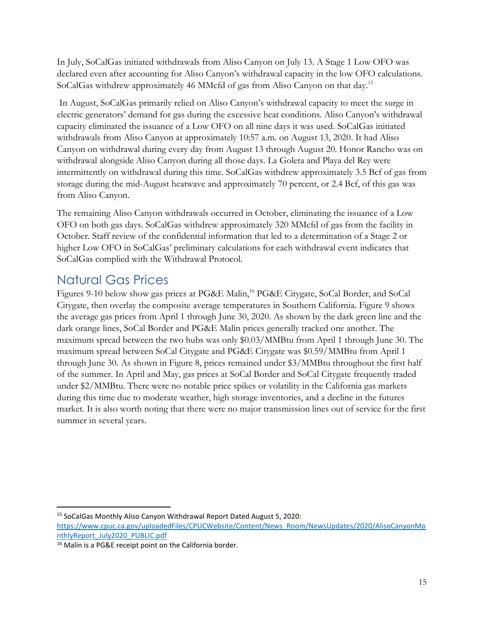In July, SoCalGas initiated withdrawals from Aliso Canyon on July 13. A Stage 1 Low OFO was declared even after accounting for Aliso Canyon's withdrawal capacity in the low OFO calculations. SoCalGas withdrew approximately 46 MMcfd of gas from Aliso Canyon on that day.<sup>15</sup>

In August, SoCalGas primarily relied on Aliso Canyon's withdrawal capacity to meet the surge in electric generators' demand for gas during the excessive heat conditions. Aliso Canyon's withdrawal capacity eliminated the issuance of a Low OFO on all nine days it was used. SoCalGas initiated withdrawals from Aliso Canyon at approximately 10:57 a.m. on August 13, 2020. It had Aliso Canyon on withdrawal during every day from August 13 through August 20. Honor Rancho was on withdrawal alongside Aliso Canyon during all those days. La Goleta and Playa del Rey were intermittently on withdrawal during this time. SoCalGas withdrew approximately 3.5 Bcf of gas from storage during the mid-August heatwave and approximately 70 percent, or 2.4 Bcf, of this gas was from Aliso Canyon.

The remaining Aliso Canyon withdrawals occurred in October, eliminating the issuance of a Low OFO on both gas days. SoCalGas withdrew approximately 320 MMcfd of gas from the facility in October. Staff review of the confidential information that led to a determination of a Stage 2 or higher Low OFO in SoCalGas' preliminary calculations for each withdrawal event indicates that SoCalGas complied with the Withdrawal Protocol.

### <span id="page-14-0"></span>Natural Gas Prices

Figures 9-10 below show gas prices at PG&E Malin,<sup>16</sup> PG&E Citygate, SoCal Border, and SoCal Citygate, then overlay the composite average temperatures in Southern California. Figure 9 shows the average gas prices from April 1 through June 30, 2020. As shown by the dark green line and the dark orange lines, SoCal Border and PG&E Malin prices generally tracked one another. The maximum spread between the two hubs was only \$0.03/MMBtu from April 1 through June 30. The maximum spread between SoCal Citygate and PG&E Citygate was \$0.59/MMBtu from April 1 through June 30. As shown in Figure 8, prices remained under \$3/MMBtu throughout the first half of the summer. In April and May, gas prices at SoCal Border and SoCal Citygate frequently traded under \$2/MMBtu. There were no notable price spikes or volatility in the California gas markets during this time due to moderate weather, high storage inventories, and a decline in the futures market. It is also worth noting that there were no major transmission lines out of service for the first summer in several years.

<sup>15</sup> SoCalGas Monthly Aliso Canyon Withdrawal Report Dated August 5, 2020:

[https://www.cpuc.ca.gov/uploadedFiles/CPUCWebsite/Content/News\\_Room/NewsUpdates/2020/AlisoCanyonMo](https://www.cpuc.ca.gov/uploadedFiles/CPUCWebsite/Content/News_Room/NewsUpdates/2020/AlisoCanyonMonthlyReport_July2020_PUBLIC.pdf) [nthlyReport\\_July2020\\_PUBLIC.pdf](https://www.cpuc.ca.gov/uploadedFiles/CPUCWebsite/Content/News_Room/NewsUpdates/2020/AlisoCanyonMonthlyReport_July2020_PUBLIC.pdf)

<sup>16</sup> Malin is a PG&E receipt point on the California border.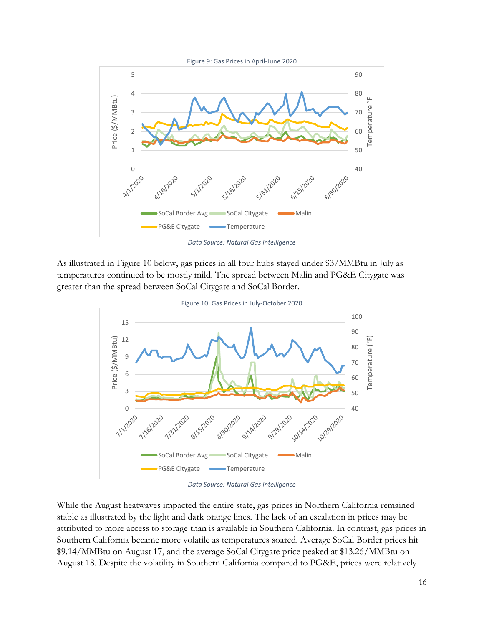

*Data Source: Natural Gas Intelligence*

As illustrated in Figure 10 below, gas prices in all four hubs stayed under \$3/MMBtu in July as temperatures continued to be mostly mild. The spread between Malin and PG&E Citygate was greater than the spread between SoCal Citygate and SoCal Border.



*Data Source: Natural Gas Intelligence*

While the August heatwaves impacted the entire state, gas prices in Northern California remained stable as illustrated by the light and dark orange lines. The lack of an escalation in prices may be attributed to more access to storage than is available in Southern California. In contrast, gas prices in Southern California became more volatile as temperatures soared. Average SoCal Border prices hit \$9.14/MMBtu on August 17, and the average SoCal Citygate price peaked at \$13.26/MMBtu on August 18. Despite the volatility in Southern California compared to PG&E, prices were relatively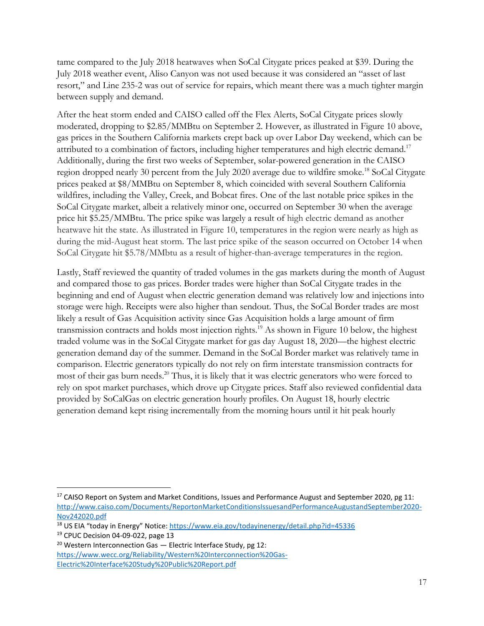tame compared to the July 2018 heatwaves when SoCal Citygate prices peaked at \$39. During the July 2018 weather event, Aliso Canyon was not used because it was considered an "asset of last resort," and Line 235-2 was out of service for repairs, which meant there was a much tighter margin between supply and demand.

After the heat storm ended and CAISO called off the Flex Alerts, SoCal Citygate prices slowly moderated, dropping to \$2.85/MMBtu on September 2. However, as illustrated in Figure 10 above, gas prices in the Southern California markets crept back up over Labor Day weekend, which can be attributed to a combination of factors, including higher temperatures and high electric demand.<sup>17</sup> Additionally, during the first two weeks of September, solar-powered generation in the CAISO region dropped nearly 30 percent from the July 2020 average due to wildfire smoke.<sup>18</sup> SoCal Citygate prices peaked at \$8/MMBtu on September 8, which coincided with several Southern California wildfires, including the Valley, Creek, and Bobcat fires. One of the last notable price spikes in the SoCal Citygate market, albeit a relatively minor one, occurred on September 30 when the average price hit \$5.25/MMBtu. The price spike was largely a result of high electric demand as another heatwave hit the state. As illustrated in Figure 10, temperatures in the region were nearly as high as during the mid-August heat storm. The last price spike of the season occurred on October 14 when SoCal Citygate hit \$5.78/MMbtu as a result of higher-than-average temperatures in the region.

Lastly, Staff reviewed the quantity of traded volumes in the gas markets during the month of August and compared those to gas prices. Border trades were higher than SoCal Citygate trades in the beginning and end of August when electric generation demand was relatively low and injections into storage were high. Receipts were also higher than sendout. Thus, the SoCal Border trades are most likely a result of Gas Acquisition activity since Gas Acquisition holds a large amount of firm transmission contracts and holds most injection rights. <sup>19</sup> As shown in Figure 10 below, the highest traded volume was in the SoCal Citygate market for gas day August 18, 2020—the highest electric generation demand day of the summer. Demand in the SoCal Border market was relatively tame in comparison. Electric generators typically do not rely on firm interstate transmission contracts for most of their gas burn needs. <sup>20</sup> Thus, it is likely that it was electric generators who were forced to rely on spot market purchases, which drove up Citygate prices. Staff also reviewed confidential data provided by SoCalGas on electric generation hourly profiles. On August 18, hourly electric generation demand kept rising incrementally from the morning hours until it hit peak hourly

<sup>&</sup>lt;sup>17</sup> CAISO Report on System and Market Conditions, Issues and Performance August and September 2020, pg 11: [http://www.caiso.com/Documents/ReportonMarketConditionsIssuesandPerformanceAugustandSeptember2020-](http://www.caiso.com/Documents/ReportonMarketConditionsIssuesandPerformanceAugustandSeptember2020-Nov242020.pdf) [Nov242020.pdf](http://www.caiso.com/Documents/ReportonMarketConditionsIssuesandPerformanceAugustandSeptember2020-Nov242020.pdf)

<sup>&</sup>lt;sup>18</sup> US EIA "today in Energy" Notice: <https://www.eia.gov/todayinenergy/detail.php?id=45336>

<sup>19</sup> CPUC Decision 04-09-022, page 13

<sup>&</sup>lt;sup>20</sup> Western Interconnection Gas  $-$  Electric Interface Study, pg 12: [https://www.wecc.org/Reliability/Western%20Interconnection%20Gas-](https://www.wecc.org/Reliability/Western%20Interconnection%20Gas-Electric%20Interface%20Study%20Public%20Report.pdf)[Electric%20Interface%20Study%20Public%20Report.pdf](https://www.wecc.org/Reliability/Western%20Interconnection%20Gas-Electric%20Interface%20Study%20Public%20Report.pdf)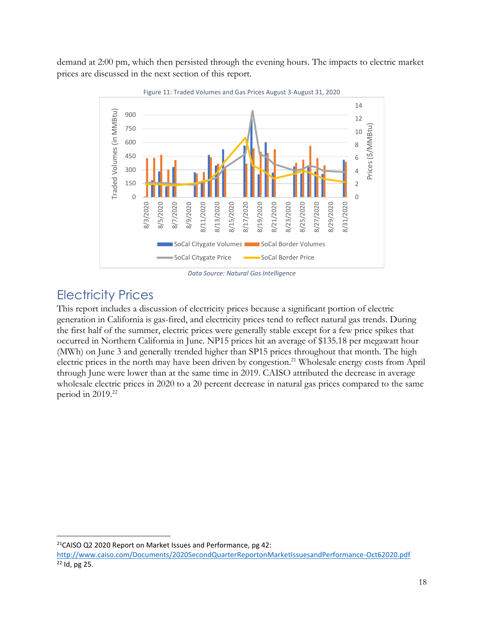demand at 2:00 pm, which then persisted through the evening hours. The impacts to electric market prices are discussed in the next section of this report.



*Data Source: Natural Gas Intelligence*

#### <span id="page-17-0"></span>Electricity Prices

This report includes a discussion of electricity prices because a significant portion of electric generation in California is gas-fired, and electricity prices tend to reflect natural gas trends. During the first half of the summer, electric prices were generally stable except for a few price spikes that occurred in Northern California in June. NP15 prices hit an average of \$135.18 per megawatt hour (MWh) on June 3 and generally trended higher than SP15 prices throughout that month. The high electric prices in the north may have been driven by congestion.<sup>21</sup> Wholesale energy costs from April through June were lower than at the same time in 2019. CAISO attributed the decrease in average wholesale electric prices in 2020 to a 20 percent decrease in natural gas prices compared to the same period in 2019. 22

<sup>&</sup>lt;sup>21</sup>CAISO Q2 2020 Report on Market Issues and Performance, pg 42:

<http://www.caiso.com/Documents/2020SecondQuarterReportonMarketIssuesandPerformance-Oct62020.pdf> <sup>22</sup> Id, pg 25.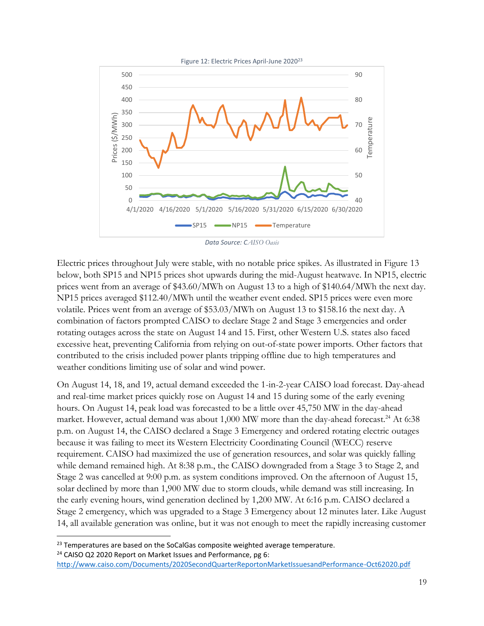

Electric prices throughout July were stable, with no notable price spikes. As illustrated in Figure 13 below, both SP15 and NP15 prices shot upwards during the mid-August heatwave. In NP15, electric prices went from an average of \$43.60/MWh on August 13 to a high of \$140.64/MWh the next day. NP15 prices averaged \$112.40/MWh until the weather event ended. SP15 prices were even more volatile. Prices went from an average of \$53.03/MWh on August 13 to \$158.16 the next day. A combination of factors prompted CAISO to declare Stage 2 and Stage 3 emergencies and order rotating outages across the state on August 14 and 15. First, other Western U.S. states also faced excessive heat, preventing California from relying on out-of-state power imports. Other factors that contributed to the crisis included power plants tripping offline due to high temperatures and weather conditions limiting use of solar and wind power.

On August 14, 18, and 19, actual demand exceeded the 1-in-2-year CAISO load forecast. Day-ahead and real-time market prices quickly rose on August 14 and 15 during some of the early evening hours. On August 14, peak load was forecasted to be a little over 45,750 MW in the day-ahead market. However, actual demand was about 1,000 MW more than the day-ahead forecast.<sup>24</sup> At 6:38 p.m. on August 14, the CAISO declared a Stage 3 Emergency and ordered rotating electric outages because it was failing to meet its Western Electricity Coordinating Council (WECC) reserve requirement. CAISO had maximized the use of generation resources, and solar was quickly falling while demand remained high. At 8:38 p.m., the CAISO downgraded from a Stage 3 to Stage 2, and Stage 2 was cancelled at 9:00 p.m. as system conditions improved. On the afternoon of August 15, solar declined by more than 1,900 MW due to storm clouds, while demand was still increasing. In the early evening hours, wind generation declined by 1,200 MW. At 6:16 p.m. CAISO declared a Stage 2 emergency, which was upgraded to a Stage 3 Emergency about 12 minutes later. Like August 14, all available generation was online, but it was not enough to meet the rapidly increasing customer

 $23$  Temperatures are based on the SoCalGas composite weighted average temperature. <sup>24</sup> CAISO Q2 2020 Report on Market Issues and Performance, pg 6: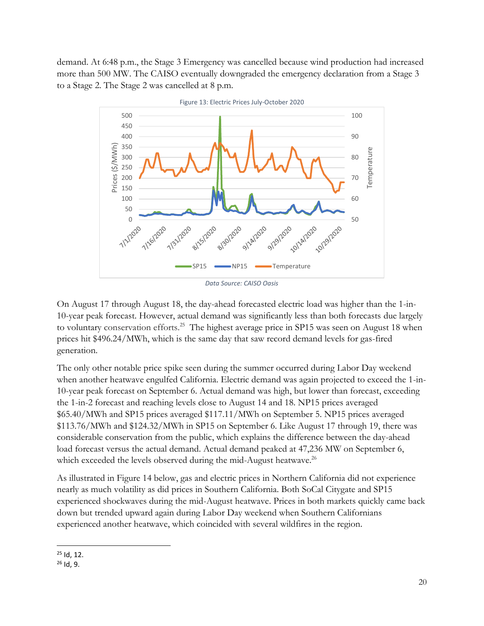demand. At 6:48 p.m., the Stage 3 Emergency was cancelled because wind production had increased more than 500 MW. The CAISO eventually downgraded the emergency declaration from a Stage 3 to a Stage 2. The Stage 2 was cancelled at 8 p.m.



On August 17 through August 18, the day-ahead forecasted electric load was higher than the 1-in-10-year peak forecast. However, actual demand was significantly less than both forecasts due largely to voluntary conservation efforts.<sup>25</sup> The highest average price in SP15 was seen on August 18 when prices hit \$496.24/MWh, which is the same day that saw record demand levels for gas-fired generation.

The only other notable price spike seen during the summer occurred during Labor Day weekend when another heatwave engulfed California. Electric demand was again projected to exceed the 1-in-10-year peak forecast on September 6. Actual demand was high, but lower than forecast, exceeding the 1-in-2 forecast and reaching levels close to August 14 and 18. NP15 prices averaged \$65.40/MWh and SP15 prices averaged \$117.11/MWh on September 5. NP15 prices averaged \$113.76/MWh and \$124.32/MWh in SP15 on September 6. Like August 17 through 19, there was considerable conservation from the public, which explains the difference between the day-ahead load forecast versus the actual demand. Actual demand peaked at 47,236 MW on September 6, which exceeded the levels observed during the mid-August heatwave.<sup>26</sup>

As illustrated in Figure 14 below, gas and electric prices in Northern California did not experience nearly as much volatility as did prices in Southern California. Both SoCal Citygate and SP15 experienced shockwaves during the mid-August heatwave. Prices in both markets quickly came back down but trended upward again during Labor Day weekend when Southern Californians experienced another heatwave, which coincided with several wildfires in the region.

 $25$  Id, 12.

 $26$  Id, 9.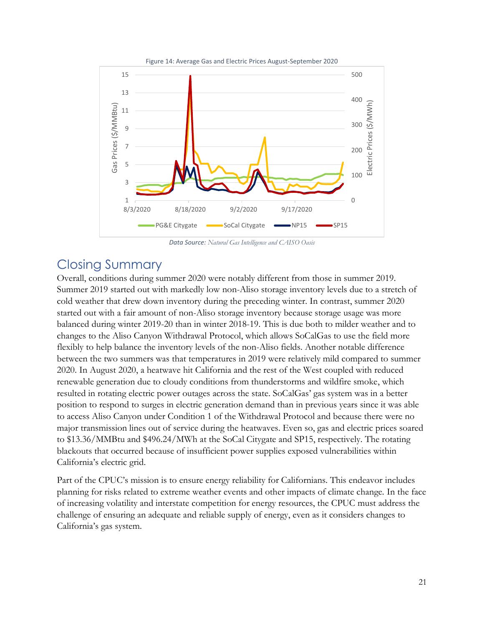

*Data Source: Natural Gas Intelligence and CAISO Oasis*

#### <span id="page-20-0"></span>Closing Summary

Overall, conditions during summer 2020 were notably different from those in summer 2019. Summer 2019 started out with markedly low non-Aliso storage inventory levels due to a stretch of cold weather that drew down inventory during the preceding winter. In contrast, summer 2020 started out with a fair amount of non-Aliso storage inventory because storage usage was more balanced during winter 2019-20 than in winter 2018-19. This is due both to milder weather and to changes to the Aliso Canyon Withdrawal Protocol, which allows SoCalGas to use the field more flexibly to help balance the inventory levels of the non-Aliso fields. Another notable difference between the two summers was that temperatures in 2019 were relatively mild compared to summer 2020. In August 2020, a heatwave hit California and the rest of the West coupled with reduced renewable generation due to cloudy conditions from thunderstorms and wildfire smoke, which resulted in rotating electric power outages across the state. SoCalGas' gas system was in a better position to respond to surges in electric generation demand than in previous years since it was able to access Aliso Canyon under Condition 1 of the Withdrawal Protocol and because there were no major transmission lines out of service during the heatwaves. Even so, gas and electric prices soared to \$13.36/MMBtu and \$496.24/MWh at the SoCal Citygate and SP15, respectively. The rotating blackouts that occurred because of insufficient power supplies exposed vulnerabilities within California's electric grid.

Part of the CPUC's mission is to ensure energy reliability for Californians. This endeavor includes planning for risks related to extreme weather events and other impacts of climate change. In the face of increasing volatility and interstate competition for energy resources, the CPUC must address the challenge of ensuring an adequate and reliable supply of energy, even as it considers changes to California's gas system.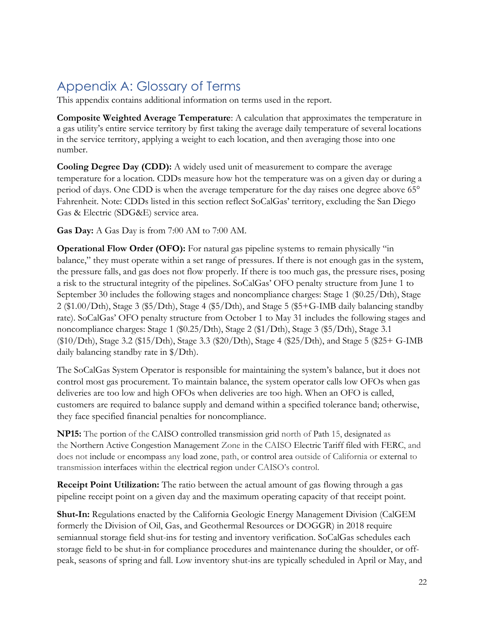# <span id="page-21-0"></span>Appendix A: Glossary of Terms

This appendix contains additional information on terms used in the report.

**Composite Weighted Average Temperature**: A calculation that approximates the temperature in a gas utility's entire service territory by first taking the average daily temperature of several locations in the service territory, applying a weight to each location, and then averaging those into one number.

**Cooling Degree Day (CDD):** A widely used unit of measurement to compare the average temperature for a location. CDDs measure how hot the temperature was on a given day or during a period of days. One CDD is when the average temperature for the day raises one degree above 65° Fahrenheit. Note: CDDs listed in this section reflect SoCalGas' territory, excluding the San Diego Gas & Electric (SDG&E) service area.

**Gas Day:** A Gas Day is from 7:00 AM to 7:00 AM.

**Operational Flow Order (OFO):** For natural gas pipeline systems to remain physically "in balance," they must operate within a set range of pressures. If there is not enough gas in the system, the pressure falls, and gas does not flow properly. If there is too much gas, the pressure rises, posing a risk to the structural integrity of the pipelines. SoCalGas' OFO penalty structure from June 1 to September 30 includes the following stages and noncompliance charges: Stage 1 (\$0.25/Dth), Stage 2 (\$1.00/Dth), Stage 3 (\$5/Dth), Stage 4 (\$5/Dth), and Stage 5 (\$5+G-IMB daily balancing standby rate). SoCalGas' OFO penalty structure from October 1 to May 31 includes the following stages and noncompliance charges: Stage 1 (\$0.25/Dth), Stage 2 (\$1/Dth), Stage 3 (\$5/Dth), Stage 3.1 (\$10/Dth), Stage 3.2 (\$15/Dth), Stage 3.3 (\$20/Dth), Stage 4 (\$25/Dth), and Stage 5 (\$25+ G-IMB daily balancing standby rate in \$/Dth).

The SoCalGas System Operator is responsible for maintaining the system's balance, but it does not control most gas procurement. To maintain balance, the system operator calls low OFOs when gas deliveries are too low and high OFOs when deliveries are too high. When an OFO is called, customers are required to balance supply and demand within a specified tolerance band; otherwise, they face specified financial penalties for noncompliance.

**NP15:** The portion of the CAISO controlled transmission grid north of Path 15, designated as the Northern Active Congestion Management Zone in the CAISO Electric Tariff filed with FERC, and does not include or encompass any load zone, path, or control area outside of California or external to transmission interfaces within the electrical region under CAISO's control.

**Receipt Point Utilization:** The ratio between the actual amount of gas flowing through a gas pipeline receipt point on a given day and the maximum operating capacity of that receipt point.

**Shut-In:** Regulations enacted by the California Geologic Energy Management Division (CalGEM formerly the Division of Oil, Gas, and Geothermal Resources or DOGGR) in 2018 require semiannual storage field shut-ins for testing and inventory verification. SoCalGas schedules each storage field to be shut-in for compliance procedures and maintenance during the shoulder, or offpeak, seasons of spring and fall. Low inventory shut-ins are typically scheduled in April or May, and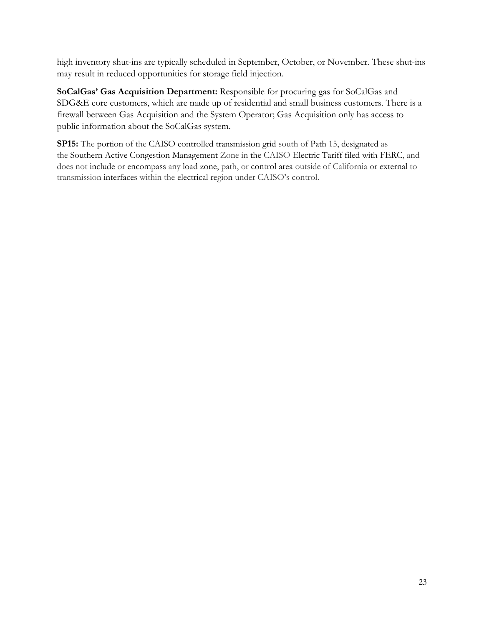high inventory shut-ins are typically scheduled in September, October, or November. These shut-ins may result in reduced opportunities for storage field injection.

**SoCalGas' Gas Acquisition Department:** Responsible for procuring gas for SoCalGas and SDG&E core customers, which are made up of residential and small business customers. There is a firewall between Gas Acquisition and the System Operator; Gas Acquisition only has access to public information about the SoCalGas system.

**SP15:** The portion of the CAISO controlled transmission grid south of Path 15, designated as the Southern Active Congestion Management Zone in the CAISO Electric Tariff filed with FERC, and does not include or encompass any load zone, path, or control area outside of California or external to transmission interfaces within the electrical region under CAISO's control.